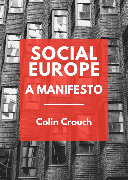# SOCIAL **A MANIFESTO**

# **Colin Crouch**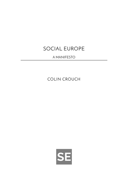# SOCIAL EUROPE

# A MANIFESTO

# COLIN CROUCH

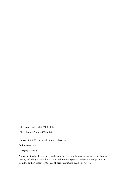ISBN paperback: 978-3-948314-12-5

ISBN ebook: 978-3-948314-09-5

Copyright © 2020 by Social Europe Publishing

Berlin, Germany

All rights reserved.

No part of this book may be reproduced in any form or by any electronic or mechanical means, including information storage and retrieval systems, without written permission from the author, except for the use of brief quotations in a book review.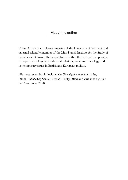About the author

Colin Crouch is a professor emeritus of the University of Warwick and external scientific member of the Max Planck Institute for the Study of Societies at Cologne. He has published within the fields of comparative European sociology and industrial relations, economic sociology and contemporary issues in British and European politics.

His most recent books include *The Globalization Backlash* (Polity, 2018), *Will the Gig Economy Prevail?* (Polity, 2019) and *Post-democracy after the Crises* (Polity 2020).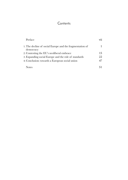# **Contents**

| Preface                                                               | vii |
|-----------------------------------------------------------------------|-----|
| 1. The decline of social Europe and the fragmentation of<br>democracy |     |
| 2. Contesting the EU's neoliberal embrace                             | 15  |
| 3. Expanding social Europe and the role of standards                  | 22  |
| 4. Conclusion: towards a European social union                        | 47  |
| <b>Notes</b>                                                          |     |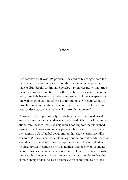# Preface

The coronavirus (Covid-19) pandemic has radically changed both the daily lives of people everywhere and the dilemmas facing policymakers. But, despite its dramatic novelty, it reinforces rather than transforms existing confrontations over the direction of social and economic policy. Precisely because it has destroyed so much, it creates spaces for innovations from all sides of those confrontations. We stand at one of those historical moments where choices are made that will shape our lives for decades to come. Who will control that moment?

Viewing the case optimistically, combating the virus has made us all aware of our mutual dependence and the need of humans for co-oper‐ ation, from the local levels of neighbourhood support that flourished during the lockdowns, to publicly provided health services, and on to the seamless web of global collaboration that characterises scientific research. We have seen that certain large and important needs—such as a sudden mass need for protective equipment, ventilators and other medical devices—cannot be met by markets unaided by government action. This has reinforced a lesson we were already learning through the need for change and innovation to reorient economies to face the climate-change crisis. We also became aware of the vital role of occu-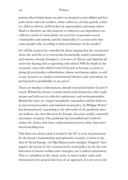#### viii Preface

pations often looked down on and even despised as low-skilled and lowpaid: nurses and care workers, refuse collectors, security guards, seafar‐ ers, delivery drivers, shelf-stackers in supermarkets and many others. Shall we therefore use this moment to rediscover our dependence on collective action of many kinds, our need for co-operation across communities and nations, and the immorality of a social order that values people only according to their performance in the market?

Or will the moment be controlled by those arguing that the coronavirus shows the need for us to retreat into hermetically sealed communities and nations, viewing 'foreigners' as bearers of disease and abjuring all moves for sharing and co-operating with others? Will the depth of the economic crisis with which Covid-19 has left us become a reason to dump all social policy, redistribution, labour and human rights, as well as any measures to combat environmental disaster, and concentrate on getting back to profitability at any price?

These are familiar confrontations, already entrenched before Covid-19 struck. Behind the former scenario stand social democrats, other egali‐ tarians and believers in collective endeavours, and environmentalists. Behind the latter are ranged xenophobic nationalists and the believers in unrestrained markets and minimal social policy. As Philippe Pochet<sup>1</sup> has demonstrated, responding to the aftermath of the pandemic does not indicate one clear direction for Europe, but some starkly contrasted alternative scenarios. The pandemic has intensified and rendered starker the choices that these confrontations present rather than intro‐ duced anything new.

This short text shows what is needed if the EU is to be an instrument for the former, humanitarian and optimistic scenario, a return to the idea of Social Europe. (As Silja Häusermann and Jane Gingrich $^2$  have argued, the lessons of the coronavirus for social policy are for the rein‐ forcement of known welfare-state strategies, not a radical reinvention.) This is a manifesto in the classic sense, in that it makes a plea and demonstrates the general direction of an approach. It is not one in the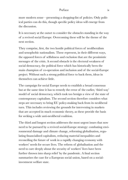more modern sense—presenting a shopping-list of policies. Only political parties can do this, though specific policy ideas will emerge from the discussion.

It is necessary at the outset to consider the obstacles standing in the way of a revived social Europe. Overcoming these will be the theme of the next section.

They comprise, first, the two hostile political forces of neoliberalism and xenophobic nationalism. These represent, in their different ways, the opposed forces of selfishness and exclusion that are the pessimistic messages of the crisis. A second obstacle is the electoral weakness of social democracy, the political force which has historically been the main champion of co-operation and inclusion and of the social-Europe project. Without such a strong political force to back them, ideas in themselves can achieve little.

The campaign for social Europe needs to establish a broad consensus but at the same time it has to remedy the error of the earlier, 'third way' model of social democracy, which took too benign a view of the state of contemporary capitalism. The second section therefore considers what steps are necessary to bring EU policy-making back from its neoliberal turn. This includes reviewing the grounds for intervening in markets that are accepted in much economic theory, as these provide the basis for seeking a wide anti-neoliberal coalition.

The third and longest section addresses the most urgent issues that now need to be pursued by a revived social-Europe strategy: combating environmental damage and climate change, reforming globalisation, regulating financialised capitalism, reducing material inequalities and reconciling the future of work in a rapidly changing economy with workers' needs for secure lives. The reform of globalisation and the need to care deeply about the security of workers' lives have been further thrown into sharp relief by the pandemic. A final section summarises the case for a European social union, based on a socialinvestment welfare state.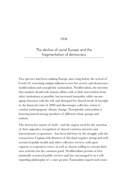#### ONE

# The decline of social Europe and the fragmentation of democracy

Two spectres had been stalking Europe since long before the arrival of Covid-19, exercising malign influences over her society and democracy: neoliberalism and xenophobic nationalism. Neoliberalism, the doctrine that markets should rule human affairs with as little intervention from other institutions as possible, has increased inequality while encour‐ aging obsession with the self and disregard for shared needs. It brought us the financial crisis of 2008 and discourages collective action to combat anthropogenic climate change. Xenophobic nationalism is fostering hatred among members of different ethnic groups and nations.

The destructive nature of both—and the urgent need for the assertion of their opposites, recognition of shared common interests and international co-operation—has been laid bare by the struggle with the coronavirus. Coping with disasters of this kind requires strong and wellresourced public-health and other collective services, with spare capacity to respond to crises, as well as citizens willing to restrain their own activities for the common good. Neoliberalism permits at best minimally resourced public services and has encouraged in us a selfregarding philosophy of *se sauve qui peut*. Nationalists regard such issues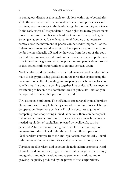as contagious disease as amenable to solutions within state boundaries, while the researchers who accumulate evidence, and pursue tests and vaccines, work as always in the borderless global community of science. In the early stages of the pandemic it was right that many governments moved to impose new checks at borders, temporarily suspending the Schengen agreement. It is only at national frontiers that necessary controls over the movement of people can be readily imposed—as the Italian government found when it tried to separate its northern regions, by far the most heavily affected by the virus, from the rest of the country. But this temporary need must not become a permanent preference —as indeed many governments, corporations and people demonstrated as they sought early opportunities to resume contacts again.

Neoliberalism and nationalism are natural enemies: neoliberalism is the main ideology propelling globalisation, the force that is producing the economic and cultural mingling among peoples which nationalists find so offensive. But they are coming together in a cynical alliance, together threatening to become the dominant force in public life—not only in Europe but in many other parts of the world.

Two elements bind them. The selfishness encouraged by neoliberalism chimes well with xenophobia's rejection of expanding circles of human co-operation. Even more cynically, if politics becomes a game of competing, non-cooperating individual nations, there can be no polit‐ ical action at transnational levels—the only levels at which the muchneeded regulation of capitalism, rejected by neoliberals, can be achieved. A further factor uniting these two forces is that they both emanate from the political right, though from different parts of it. Neoliberalism emerges from the anti-egalitarian, economically liberal right; nationalism comes from its socially conservative component.

Together, neoliberalism and xenophobic nationalism promise a world of unchecked and intensifying environmental damage; of increasingly antagonistic and ugly relations among people and nations; and of growing inequality produced by the power of vast corporations,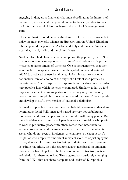engaging in dangerous financial risks and subordinating the interests of consumers, workers and the general public to their imperative to make profit for their shareholders, far beyond the reach of 'sovereign' nation states.

This combination could become the dominant force across Europe. It is today the most powerful alliance in Hungary and the United Kingdom, it has appeared for periods in Austria and Italy and, outside Europe, in Australia, Brazil, India and the United States.

Neoliberalism had already become so apparently popular by the 1990s that its most significant opponents—Europe's social-democratic parties —started to accept many of its tenets. One consequence was that they were unable to reap any harvest from the global financial disaster of 2007-08, produced by neoliberal deregulation. Instead xenophobic nationalists were able to point the finger at all established parties, as constituting an 'elite' purportedly responsible for the disruption of ordi‐ nary people's lives which the crisis engendered. Similarly, today we find important elements in many parties of the left arguing that the only way to counter xenophobic movements is to adopt parts of their agenda and develop the left's own version of national isolationism.

Is it really impossible to contest these two baleful movements other than by imitating them? Selfishness and hatred are very powerful human motivations and naked appeal to them resonates with many people. But there is evidence all around us of people who act unselfishly, who prefer to work in productive peace with others rather than hate them, for whom co-operation and inclusiveness are virtues rather than objects of scorn, who do not regard 'foreigners' as creatures to be kept at arm's length, or who simply fear moods of incipient violence or just enjoy the variety that a multicultural society brings to their lives. If such people constitute majorities, then the struggle against neoliberalism and xeno‐ phobia is far from hopeless. The task is to find a constructive political articulation for these majorities. Two slogans, both curiously emerging from the UK—that neoliberal template and leader of Europhobia—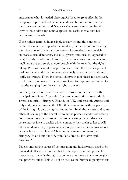encapsulate what is needed: *Better together* (used to great effect in the campaign to prevent Scottish independence, but not unfortunately in the Brexit referendum) and *Hope not hate* (a campaign to combat the wave of hate crime and abusive speech on 'social media' that has accompanied Brexit).

If the right is tempted increasingly to rally behind the banners of neoliberalism and xenophobic nationalism, the burden of confronting them is a duty of the left and centre—at its broadest a term which embraces social democrats, socialists, greens and social (as opposed to neo-) liberals. In addition, however, many moderate conservatives and neoliberals are extremely uncomfortable with the turn that the right is taking. We must be alert to opportunities to build the broadest possible coalitions against the twin menace, especially as it uses the pandemic to justify its strategy. There is a serious danger that, if this is not achieved, a determined minority of the hard right will triumph over a fragmented majority ranging from the centre right to the left.

For many years moderate conservatives have seen themselves as the principal guardians of the rule of law and constitutional rectitude. In several countries—Hungary, Poland, the UK, until recently Austria and Italy and, outside Europe, the US—their association with the practices of the far right is destroying that reputation. In all those states and some others it is falling to the liberal left to be the prime defenders of orderly government, in what seems at times to be a losing battle. Moderate conservatives have to decide which company they prefer to keep. Will Christian democrats, in particular, see opportunities for a revival of reli‐ gious politics in the illiberal Christian movements dominant in Hungary, Poland and the US, or in Pope Francis' inclusive egali‐ tarianism?

Policies embodying values of co-operation and inclusiveness need to be pursued at all levels of politics, but the European level has particular importance. It is only through action here that these values can be given real practical effect. This will not be easy, as the European polity reflects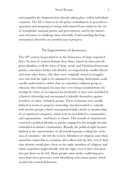#### Social Europe 5

and magnifies the fragmentation already taking place within individual countries. The EU's claim to be the prime embodiment of peaceful cooperation and integration is being undermined from within by the rise of xenophobic national parties and governments, and by the union's own reluctance to challenge these forcefully. Understanding this fragmentation is therefore an essential step to progress.

#### The fragmentation of democracy

The 20<sup>th</sup> century bequeathed to us the democracy of large organised blocs. In most of western Europe these blocs, based on class and reli‐ gious identities, took the form of large social- and Christian-democratic parties, sometimes further sub-divided, accompanied by smaller liberal and some other forces. The blocs were originally rooted in struggles over who had the right to be admitted to citizenship. Individuals could usually understand to which class (or sometimes religious group or ethnicity) they belonged, because they were being excluded from citi‐ zenship by virtue of an imposed social identity or they were included in a limited citizenship and encouraged to identify themselves against members of other, excluded, groups. These exclusions were usually defined in terms of property ownership, but that tended to coincide with income groups, which corresponded fairly closely to membership of occupational categories, which were in turn linked to communities and organisations—and hence to classes. This *ensemble* of attachments conveyed a political identity, as parties engaged in the struggle became embedded in distinct communities. Broadly, the political right became defined as the representative of all included groups seeking the exclu‐ sion of outsiders—the left the reverse. Members of religious and ethnic minorities vulnerable to exclusion often allied with the left, even if their class identity would place them on the right; members of religious and ethnic majorities might identify with the right, even if their class position put them on the left. Many people came under conflicting pressures from these processes, some identifying with minor parties which avoided the central dichotomy.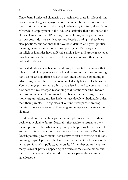Once formal universal citizenship was achieved, these invidious distinc‐ tions were no longer employed in open conflict, but memories of the past continued to confirm the party loyalties they inspired, albeit fading. Meanwhile, employment in the industrial activities that had shaped the classes of much of the  $20<sup>th</sup>$  century was declining, while jobs grew in various post-industrial services sectors. People working in these have class positions, but not ones that have been defined and given political meaning by involvement in citizenship struggles. Party loyalties based on religious identities have suffered a similar fate, as European societies have become secularised and the churches have relaxed their earlier political stridency.

Political identities have become shallower, less rooted in conflicts that relate shared life experiences to political inclusion or exclusion. Voting has become an experience closer to consumer activity, responding to advertising, rather than the expression of deeply felt social solidarities. Voters change parties more often, or are less inclined to vote at all, and new parties have emerged responding to different concerns. Today's citizens are in general less amenable to being fitted into large hegemonic organisations, and less likely to have deeply embedded loyalties, than their parents. The big blocs of our inherited parties are frag‐ menting into a kaleidoscope of varying and temporary allegiances and alliances.

It is difficult for the big bloc parties to accept this and they see their decline as avoidable failure. Naturally, they aspire to return to their former positions. But what is happening is the passing from one era to another—it is no one's 'fault'. As has long been the case in Dutch and Danish politics, governments increasingly consist of varying coalitions among groups of parties. The European Parliament itself is an excel‐ lent arena for such a politics, as across its 27 member states there are many forms of parties, appearing in diverse domestic coalitions, and the parliament is virtually bound to present a particularly complex kaleidoscope.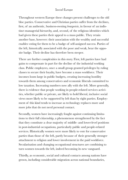#### Social Europe 7

Throughout western Europe these changes present challenges to the old bloc parties. Conservative and Christian parties suffer from the declines, first, of an authentic, business-owning *bourgeoisie*, in favour of an indis‐ tinct managerial hierarchy, and, second, of the religious identities which had given these parties their appeal to a mass public. They retain another base, however: their association with the wealthy and successful enables voting for them to be a badge of self-assigned success. Parties of the left, historically associated with the poor and weak, bear the oppo‐ site badge. Their decline has therefore been steeper.

There are further complexities in this story. First, left parties have had gains to compensate in part for the decline of the industrial working class. Public employees, once a small group granted privileges by ruling classes to secure their loyalty, have become a mass workforce. Their incomes loom large in public budgets, creating increasing hostility towards them among conservatives and economic liberals committed to low taxation. Increasing numbers now ally with the left. More generally, there is evidence that people working in people-related services activi‐ ties, whether public or private, are likely to hold liberal, inclusive social views more likely to be supported by left than by right parties. Employ‐ ment of this kind tends to increase as technology replaces more and more jobs that do not need personal contact.

Secondly, women have increasingly fought against continuing limita tions to their full citizenship, a phenomenon strengthened by the fact that they constitute a clear majority of middle- and lower-level positions in post-industrial occupations, particularly public and people-related services. Historically women were more likely to vote for conservative parties than those of the left, partly because of their generally stronger attachment to religion and lower involvement in the paid workforce. Secularisation and changing occupational structures are combining to turn women towards the left, indeed becoming its new vanguard.

Thirdly, as economic, social and cultural contacts among nations have grown, including considerable migration across national boundaries,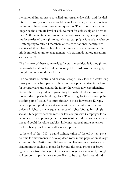the national limitations to so-called 'universal' citizenship, and the defi‐ nition of those persons who should be included in a particular political community, have been thrown into question. The nation-state can no longer be the ultimate level of achievement for citizenship and democracy. At the same time, internationalisation provides major opportunities for parties of the right to launch new campaigns for social exclusion —attempting to rally all members of the core national identity, irre‐ spective of their class, in hostility to immigrants and sometimes other ethnic minorities and to engagement with transnational organisations such as the EU.

The first two of these complexities favour the political left, though not necessarily traditional social democracy. The third favours the right, though not in its moderate forms.

The countries of central and eastern Europe (CEE) lack the west's long history of major bloc parties. Therefore their political structures have for several years anticipated the future the west is now experiencing. Rather than they gradually gravitating towards established western models, the opposite is taking place. Their struggles for citizenship, in the first part of the  $20<sup>th</sup>$  century similar to those in western Europe, became pre-empted by a state-socialist form that interpreted equal universal rights to mean equal absence of rights. Voting for a single socialist bloc party became more or less compulsory. Campaigns for a genuine citizenship during the state-socialist period had to be clandes‐ tine and could therefore establish little mass appeal, more extensive protests being quickly and ruthlessly suppressed.

At the end of the 1980s, a rapid disintegration of the old system gave no time for movements to develop deep roots in the population at large. Attempts after 1990 to establish something like western parties were disappointing, failing to reach far beyond the small groups of brave fighters for citizenship against the socialist regimes. Successful, though still temporary, parties were more likely to be organised around indi‐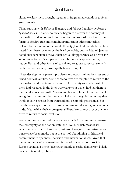vidual wealthy men, brought together in fragmented coalitions to form governments.

Then, starting with *Fidesz* in Hungary and followed rapidly by *Prawo i Sprawiedliwość* in Poland, politicians began to discover the potency of nationalism and xenophobia in countries long subordinated to various forms of foreign rule and containing important ethnic minorities disliked by the dominant national ethnicity. Jews had mainly been elimi‐ nated from these societies by the Nazi genocide, but the idea of Jews as hated outsiders often survives their actual disappearance as a driver for xenophobic forces. Such parties, often but not always combining nationalism and other forms of social and religious conservatism with neoliberal economics, have rapidly become popular.

These developments present problems and opportunities for most estab‐ lished political families. Some conservatives are tempted to return to the nationalism and reactionary forms of Christianity to which most of them had recourse in the inter-war years—but which had led them to their fatal association with Nazism and fascism. Liberals, in their neolib‐ eral guise, are tempted by the deregulation of the global economy that would follow a retreat from transnational economic governance, but fear the consequent return of protectionism and declining international trade. Meanwhile, their more general liberalism cannot accept the new drive to return to social exclusion.

Some on the socialist and social-democratic left are tempted to reassert the sovereignty of the nation-state, the level at which most of its achievements—the welfare state, systems of organised industrial rela‐ tions—have been made, but at the cost of abandoning its historical commitment to openness, inclusion and internationalism. Given that the main theme of this manifesto is the advancement of a social-Europe agenda, a theme belonging mainly to social democracy, I shall concentrate on its problems.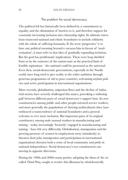#### The problem for social democracy

The political left has historically been defined by a commitment to equality and the elimination of barriers to it, and therefore support for constantly increasing inclusion into citizenship rights. Its ultimate inten‐ tions transcend national and ethnic boundaries to include solidarity with the whole of suffering humanity. If the term 'progressive' is to have any political meaning beyond a vacuous bias in favour of 'mod‐ ernisation', it must refer to that idea of gradually expanding inclusion. But the goal has problematic implications. These were long shielded from us by the existence of the nation-state as the practical limit of feasible aspirations—the national could be presented as the universal. Even then, social-democratic governments, especially in the Nordic world, have long tried to give reality to the wider ambition through generous programmes of aid to poor countries, welcoming asylum poli‐ cies and active participation in international organisations.

More recently, globalisation, migration flows and the decline of industrial society have severely challenged this stance, provoking a widening gulf between different parts of social democracy's support base. Its new constituencies among public and other people-oriented service workers, and more generally the populations of thriving multicultural cities, have embraced a transcendence of national boundaries and a general welcome to ever more inclusion. But important parts of its original constituency among male manual workers in manufacturing and mining—today increasingly 'formerly' engaged in manufacturing and mining—have felt very differently. Globalisation, immigration and the growing presence of women in employment seem (mistakenly) to threaten their jobs; immigration and participation in international organisations threaten both a sense of local community and pride in national independence. Social democracy's two constituencies are moving in opposite directions.

During the 1990s and 2000s many parties, adopting the ideas of the socalled Third Way, sought to resolve this dilemma by wholeheartedly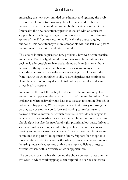#### Social Europe 11

embracing the new, open-minded constituency and ignoring the problems of the old industrial working class. Given a need to choose between the two, this could be justified both practically and ethically. Practically, the new constituency provides the left with an educated support base which is growing and tends to work in the more dynamic sectors of the  $21<sup>st</sup>$ -century economy. Ethically, the outward-going outlook of this constituency is more compatible with the left's long-term commitment to inclusion and internationalism.

This choice in turn bequeathed new problems, however, again practical and ethical. Practically, although the old working class continues to decline, it is impossible to form social-democratic majorities without it. Ethically, although many members of this class are today inclined to share the interests of nationalist elites in seeking to exclude outsiders from sharing the good things of life, its own deprivations continue to claim the attention of any decent leftist politics, especially as decline brings bleak prospects.

For some on the far left, the hapless decline of the old working class seems to offer opportunities, the final arrival of the immiseration of the proletariat Marx believed would lead to a socialist revolution. But this is not what is happening. When people believe that history is passing them by, they do not embrace bold, forward-looking causes but turn to narrow, defensive movements which promise to exclude challengers to whatever precarious advantages they retain. Hence not only the xenophobic right but also the neoliberal right, promising low taxes, thrives in such circumstances. People confronting decline can embrace forwardlooking and open-hearted values only if they can see their families and communities as part of an optimistic future. Support for xenophobic movements is weakest in cities with distinctly modern advanced manufacturing and services sectors, or that are simply sufficiently large to present workers with a diversity of work opportunities.

The coronavirus crisis has sharpened the choice between these alterna‐ tive ways in which working people can respond to a serious deteriora‐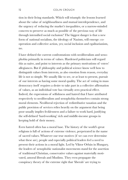tion in their living standards. Which will triumph: the lessons learned about the value of neighbourliness and mutual interdependence, and the urgency of reducing the market's inequalities, or a narrow-minded concern to preserve as much as possible of the previous way of life through intensified social exclusion? The biggest danger is that a new form of national socialism, the ideology of Nazism, will emerge: cooperation and collective action, yes; social inclusion and egalitarianism, no.

I have defined the current confrontations with neoliberalism and xeno‐ phobia primarily in terms of values. Hardened politicians will regard this as naïve, and point to interests as the primary motivations of voters' allegiances. But if philosophy and political science know well how to distinguish values from interests, as also emotion from reason, everyday life is not so simple. We usually like to see, or at least to present, pursuit of our interests as having some moral quality. The act of voting in mass democracy itself requires a desire to take part in a collective affirmation of values, as an individual vote has virtually zero practical effect. Indeed, the expressions of selfishness and hatred that I have attributed respectively to neoliberalism and xenophobia themselves contain strong moral elements. Neoliberal rejection of redistributive taxation and the public provision of services relies heavily on the argument that being poor usually implies fecklessness and a failure to work hard, justifying the self-defined 'hard-working' rich and middle-income groups in keeping hold of their money.

Even hatred often has a moral base. The history of the world's great religions is full of actions of extreme violence, perpetrated in the name of sacred values. Whatever our true motives (if we can ever determine what these are), people and especially political leaders feel a need to present their actions in a moral light. Led by Viktor Orbán in Hungary, the leaders of xenophobic nationalist movements stand for the assertion of traditional Christian, conservative values against materially moti‐ vated, amoral liberals and Muslims. They even propagate the conspiracy theory of the extreme right that 'liberals' are trying to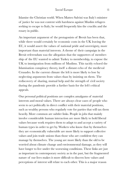Islamise the Christian world. When Matteo Salvini was Italy's minister of justice he was not content with harshness against Muslim refugees seeking to escape to Italy; he would frequently kiss the crucifix and the rosary in public.

An important argument of the protagonists of Brexit has been that, while there would certainly be economic costs in the UK leaving the EU, it would assert the values of national pride and sovereignty, more important than material interests. A theme of their campaign in the Brexit referendum was the allegation that the supporters of membership of the EU wanted to admit Turkey to membership, to expose the UK to immigration from millions of Muslims. This tacitly echoed the Islamisation conspiracy theory, itself a distant echo of the medieval Crusades. In the current climate the left is more likely to lose by neglecting arguments from values than by insisting on them. The rediscovery of sharing, mutual help and the strength of civil society during the pandemic provide a further basis for the left's ethical appeals.

Our personal political positions are complex amalgams of material interests and moral values. There are always clear cases of people who seem to act politically in direct conflict with their material positions, such as wealthy persons who regularly vote for parties that will tax them heavily. More common are subtler links. People in jobs that mainly involve considerable human interaction are more likely to hold liberal values because work requires them to adapt to and accept a variety of human types in order to get by. Workers who know that by themselves they are economically vulnerable are more likely to support collective values and join trade unions than those who are confident they can manage by themselves. The young are more likely than the old to be worried about climate change and environmental damage, as they will have longer to live under the worsening conditions. These links are just as important in contemporary society as in the past, but the fragmented nature of our lives makes it more difficult to discern how values and perceptions of interest will relate to each other. This is a major reason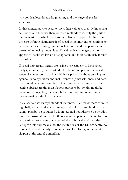why political loyalties are fragmenting and the range of parties widening.

In this context, parties need to assert their values as their defining characteristics, and then use their research methods to identify the parts of the population to which these are most likely to appeal. In this context the core defining characteristic of social democracy has to continue to be to work for increasing human inclusiveness and co-operation in pursuit of reducing inequalities. This directly challenges the moral appeals of neoliberalism and xenophobia, but is alone unlikely to rally majorities.

If social-democratic parties are losing their capacity to form singleparty governments, they must adapt to becoming part of the kaleido‐ scope of contemporary politics. If this is primarily about building an agenda for co-operation and inclusiveness against selfishness and hate, that should be a promising task. Greens in particular and also leftleaning liberals are the most obvious partners, but so also might be conservatives rejecting the xenophobic embrace and other minor parties seeking a similar basic agenda.

It is essential that Europe stands at its centre. In a world where so much is globally traded and where damage to the climate and biodiversity cannot possibly be contained within national boundaries, co-operation has to be cross-national and is therefore incompatible with an obsession with national sovereignty, whether of the right or the left. For the European left, this means that the institutions of the EU are central to its objectives and identity—not an add-on for placing in a separate chapter at the end of a manifesto.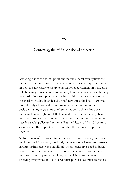#### TWO

# Contesting the EU's neoliberal embrace

Left-wing critics of the EU point out that neoliberal assumptions are built into its architecture—if only because, as Fritz Scharpf<sup>1</sup> famously argued, it is far easier to secure cross-national agreement on a negative task (breaking down barriers to markets) than on a positive one (finding new institutions to supplement markets). This structurally determined pro-market bias has been heavily reinforced since the late 1990s by a more directly ideological commitment to neoliberalism in the EU's decision-making organs. As so often in national politics, European policy-makers of right and left alike tend to see markets and publicpolicy actions as a zero-sum game: if we want more market, we must have less social policy and *vice versa*. But the history of the 20<sup>th</sup> century shows us that the opposite is true and that the two need to proceed together.

As Karl Polanyi<sup>2</sup> demonstrated in his research on the early industrial revolution in 18th-century England, the extension of markets destroys various institutions which stabilised society, creating a need to build new ones to avoid mass insecurity and social chaos. This happens because markets operate by taking that which is profitable and throwing away what does not serve their purpose. Markets therefore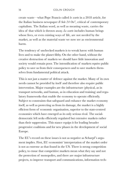create waste—what Pope Francis called *lo scarto* in a 2018 article, for the Italian business newspaper *Il Sole 24 Ore*<sup>3</sup> , critical of contemporary capitalism. The Italian word, as well as meaning waste, carries the idea of that which is thrown away. *Lo scarto* includes human beings whose lives, or even existing ways of life, are not needed by the market, as well as the material waste we now see as environmental harm.

The tendency of unchecked markets is to wreak havoc with human lives and to make the planet filthy. On the other hand, without the creative destruction of markets we should have little innovation and society would remain poor. The intensification of markets *requires* public policy to save us from their consequences and to save markets them‐ selves from fundamental political attack.

This is not just a matter of defence against the market. Many of its own needs cannot be provided by itself and therefore also require public intervention. Major examples are the infrastructure (physical, as in transport networks, and human, as in education and training) and regu‐ latory frameworks that enable the economy to operate efficiently. Subject to constraints that safeguard and enhance the market economy itself, as well as protecting us from its damage, the market is a highly efficient form of economic organisation, superior to the state-centred economies which have emerged as its only serious rival. The socialdemocratic left seeks efficiently regulated but extensive markets rather than their suppression. This stance equips it for leading broader progressive coalitions and for new phases in the development of social Europe.

The EU's record on these issues is not as negative as Scharpf's argument implies. First, EU economists' interpretation of the market order is not as extreme as that found in the US. There is strong competition policy, to ensue that competitive markets mean what they say and not the protection of monopolies, and there are major infrastructure projects, to improve transport and communications, information tech‐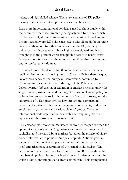nology and high-skilled science. These are elements of EU policymaking that the left must support and seek to enhance.

Even more important, national politicians need to shout loudly within their countries that these are things being achieved by the EU, which can be done only through cross-national co-operation. Too often even the most ardently pro-EU politicians seek to take all credit for anything positive in their countries that emanates from the EU, blaming the union for anything negative. This is highly short-sighted and has brought us to the position where xenophobic parties in nearly every European country can treat the union as something that does nothing but impose bureaucratic rules.

It cannot however be denied that there has been a rise in dogmatic neoliberalism in the EU during the past 20 years. Before then, Jacques Delors' presidency of the European Commission, continued by Romano Prodi, seemed to accept the logic of the Polanyian argument. Delors oversaw *both* the major extension of market processes under the single-market programme and the biggest extension of social policy in its broadest sense—the social chapter of the Maastricht treaty, and the emergence of a European civil society through the commission's networks of contacts with local and regional governments, trade unions, employers' organisations and various citizens' groups. No other international trade organisation has established anything like this rapport with the citizens of its member states.

This episode was however immediately followed by the period when the apparent superiority of the Anglo-American model of unregulated capitalism and insecure labour markets, based on the priority of share‐ holder interests, led to panic in European capitals. National governments of various political stripes, and under their influence the EU itself, embarked on a programme of intensified neoliberalism. The accession of former state-socialist countries from 2004 brought to EU membership political leaders inclined to see social democracy and the welfare state as indistinguishable from communism. This strengthened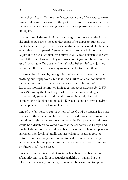the neoliberal turn. Commission leaders went out of their way to stress how social Europe belonged to the past. There were few new initiatives under the social chapter and governments were pressed to reduce work‐ ers' rights.

The collapse of the Anglo-American deregulation model in the financial crisis should have signalled that much of its apparent success was due to the inflated growth of unsustainable secondary markets. To some extent this has happened. Agreement on a European Pillar of Social Rights at the EU's Gothenburg summit in 2017 saw a return to recogni‐ tion of the role of social policy in European integration. It established a set of social rights European citizens should feel entitled to enjoy and committed the union to assisting member states to realise them.

This must be followed by strong substantive action if these are to be anything but empty words, but it at least marked an abandonment of the earlier rejection of the social-Europe concept. In June 2019 the European Council committed itself to *A New Strategic Agenda for the EU 2019-24*, among the four key priorities of which was building a 'cli‐ mate-neutral, green, fair and social Europe'. Not only does this complete the rehabilitation of social Europe; it coupled it with environ‐ mental policies—a fundamental necessity.

One of the few positive consequences of the Covid-19 disaster has been to advance this change still further. There is widespread agreement that the original tight monetary-policy rules of the European Central Bank would be a disaster if followed now that the economies of Europe and much of the rest of the world have been devastated. There are plans for extremely high levels of public debt as well as vast state support to restore even the strongest economies to health. True, this will impose large debts on future generations, but unless we take these actions now the future itself will be bleak.

Outside the immediate field of social policy there have been more substantive moves to limit speculative activities by banks. But the reforms are not going far enough: banking lobbies are still too powerful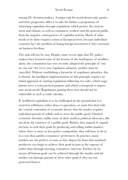#### Social Europe 19

among EU decision-makers. A major task for social-democratic parties and their progressive allies is to take far further a programme of reforming capitalism through regulations which protect the environ‐ ment and climate, as well as consumers, workers and the general public, from the negative consequences of capitalist activity. Much of what needs to be done requires action at European level, because individual countries face the problem of losing foreign investment if they encroach on business freedom.

The task will not be easy. Despite some recent signs that EU policymakers have learned some of the lessons of the inadequacy of neoliberalism, the commission has very recently adopted the principle of 'one in, one out': for every new regulation adopted, another must be cancelled. Without establishing a hierarchy of regulatory priorities, this is absurd. An intelligent implementation of this principle requires an initial appraisal of existing regulations following two rules: which regulations serve a real practical purpose and which correspond to impor‐ tant social needs? Regulations passing these tests should not be vulnerable to such a crude calculus.

If neoliberal capitalism is to be challenged on the ground that it is rooted in selfishness rather than co-operation, we must first deal with the central contention of economic theory that the market requires individual pursuit of selfish ends to serve the public good. Classical economic theorists, unlike some of their modern political advocates, did not deny the existence of a public good. Rather, they argued, if capitalists have to seek their goals by producing and selling within markets where there is more or less perfect competition, they will have to do so in a way that satisfies consumers' preferences. In practice, many markets are not perfect; as soon as they depart far from that standard, producers can begin to achieve their goals in part at the expense of, rather than through meeting, consumers' interests. Further, by no means all human goals can be achieved through the market and the market can damage pursuit of these other goals if they are not protected from it.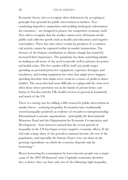Economic theory tries to recognise these deficiencies by accepting in principle four grounds for public intervention in markets. Two combating imperfect competition and tackling inadequate information for customers—are designed to protect the competitive economy itself. Two others recognise that the market cannot meet all human needs: public and collective goods (such as health and education) and negative externalities. These last exist where certain by-products of a commer‐ cial activity cannot be captured within its market transactions. The menace of the human contribution to climate change has massively increased their importance. The pandemic has done something similar in making us all aware of the need to provide well in advance for potential health crises. The free market will by itself not justify major spending on personal protective equipment, expensive therapies and machinery, and testing equipment for crises that might never happen spending therefore that might never result in a return of profit to shareholders. The areas that had most difficulty in coping with the virus were often those where provision was in the hands of private firms: care homes in Sweden and the UK; health services in general in Lombardy and much of the US.

There is a strong case for adding a fifth reason for public intervention in market forces—reducing inequality. Economists have traditionally viewed inequality positively as evidence of rewards to entrepreneurship. International economic organisations—principally the International Monetary Fund and the Organisation for Economic Co-operation and Development—have however warned that the recent growth of inequality in the US has begun to have negative economic effects. If the rich take a large share of the growth in national income, the rest of the population, and especially the bottom 40 per cent, can share in the growing expenditure on which the economy depends only by borrowing.<sup>4</sup>

Heavy borrowing for consumption by lower-income people was a major cause of the 2007-08 financial crisis. Capitalist economies therefore face a choice: they can have only two of the following: high inequality,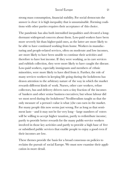strong mass consumption, financial stability. For social democrats the answer is clear: it is high inequality that is unsustainable. Forming coalitions with other parties requires their acceptance of this choice.

The pandemic has also both intensified inequalities and elevated a longdormant widespread concern about them. Low-paid workers have been more severely hit than higher-paid ones, as the latter are more likely to be able to have continued working from home. Workers in manufacturing and people-related services, often on moderate and low incomes, are more likely to have been unable to continue their activities and therefore to have lost income. If they were working, as in care services and rubbish collection, they were more likely to have caught the disease. Low-paid workers, especially immigrants and members of ethnic minorities, were more likely to have died from it. Further, the role of many services workers in keeping life going during the lockdowns has drawn attention to the arbitrary nature of the way in which the market rewards different kinds of work. Nurses, other care workers, refuse collectors, bus and delivery drivers earn a tiny fraction of the incomes of bankers and other senior business executives; but whose labour did we most need during the lockdowns? Neoliberalism taught us that the only measure of a person's value is what (s)he can earn in the market. For many people this now seems just wrong. For as long as that sentiment lasts—and it may not be for very long—large numbers of voters will be willing to accept higher taxation, partly to redistribute income; partly to provide better rewards for the many public-service workers involved in those key activities and partly to provide a high base of free or subsidised public services that enable people to enjoy a good even if their incomes are low.

These themes provide the basis for a broad consensus on policies to reclaim the pursuit of social Europe. We must now examine their application in more detail.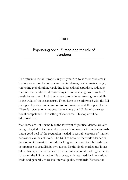#### **THRFF**

# Expanding social Europe and the role of standards

The return to social Europe is urgently needed to address problems in five key areas: combating environmental damage and climate change, reforming globalisation, regulating financialised capitalism, reducing material inequalities and reconciling economic change with workers' needs for security. This last now needs to include restoring normal life in the wake of the coronavirus. These have to be addressed with the full panoply of policy tools common to both national and European levels. There is however one important one where the EU alone has exceptional competence—the setting of standards. This topic will be addressed first.

Standards are not normally at the forefront of political debate, usually being relegated to technical discussions. It is however through standards that a good deal of the regulation needed to restrain excesses of market behaviour can be achieved. The EU has become the world's leader in developing international standards for goods and services. It needs that competence to establish its own norms for the single market and it has taken this expertise to the level of wider international trade agreements. It has left the US behind in this process, with less need for international trade and generally more lax internal quality standards. Because the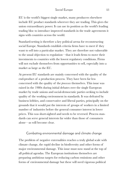EU is the world's biggest single market, many producers elsewhere include EU product standards wherever they are trading. This gives the union extraordinary power. It can use its position as the world's leading trading bloc to introduce improved standards in the trade agreements it signs with countries across the world.

Standard-setting is therefore a key political arena for reconstructing social Europe. Standards establish criteria firms have to meet if they want to sell into a particular market. They are therefore not vulnerable to the usual objection to regulation—that it leads firms to move their investments to countries with the lowest regulatory conditions. Firms will not exclude themselves from opportunities to sell, especially into a market as large as the EU.

At present EU standards are mainly concerned with the quality of the end-product of a production process. They have been far less concerned with the quality of the *processes* themselves. This issue was raised in the 1980s during initial debates over the single European market by trade unions and social-democratic parties seeking to include quality of the working environment in standards. It was defeated by business lobbies, and conservative and liberal parties, principally on the grounds that it would put the interests of groups of workers in a limited number of industries before the general consumer interest in lower prices. This was short-sighted and needs to be reversed. Process stan‐ dards can serve general interests far wider than those of consumers alone—as will become clear.

# Combating environmental damage and climate change

The problem of negative externalities reaches a truly global scale with climate change, the rapid decline in biodiversity and other forms of major environmental damage. This issue must now stand at the top of all political agendas. The European institutions themselves are preparing ambitious targets for reducing carbon emissions and other forms of environmental damage but these will need vigorous political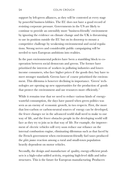support by left-green alliances, as they will be contested at every stage by powerful business lobbies. The EU does not have a good record of resisting corporate pressure. Governments in the US are likely to continue to provide an ostensibly more 'business-friendly' environment by ignoring the evidence on climate change and the UK is threatening to use its position outside the EU but on its doorstep to mount a competitive challenge by weakening environmental and social regula‐ tions. Strong nerves and considerable public campaigning will be needed to turn European ambitions into realities.

In the past environmental policies have been a stumbling block to cooperation between social democrats and greens. The former have prioritised the interests of workers in polluting industries and lowerincome consumers, who face higher prices if the goods they buy have to meet stronger standards. Greens have of course prioritised the environment. This dilemma is however declining in importance. 'Green' technologies are opening up new opportunities for the production of goods that protect the environment and use resources more efficiently.<sup>1</sup>

While it remains true that we need to reduce various kinds of energywasteful consumption, the days have passed when green politics was seen as an enemy of economic growth, in two respects. First, the more that low-carbon or carbon-neutral sources of energy can be developed, the fewer changes we in the advanced world shall need to make to our way of life, and the fewer obstacles people in the developing world will face as they try to join us in that way of life. For example, the improvement of electric vehicles will very soon reduce our reliance on the internal combustion engine, eliminating dilemmas such as that faced by the French government when environment-friendly fuel taxes produced the *gilets jaunes* reaction among a rural and small-town population heavily dependent on motor vehicles.

Secondly, the design and manufacture of quality, energy-efficient prod‐ ucts is a high-value-added activity, requiring high-level skills and infra‐ structures. This is the future for European manufacturing. Producers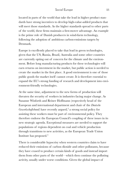located in parts of the world that take the lead in higher product standards have strong incentives to develop high-value-added products that will meet those standards. As the higher standards spread to other parts of the world, these firms maintain a first-mover advantage. An example is the prime role of Danish producers in wind-farm technology, following the adoption of ambitious carbon-emissions targets by Denmark.

Europe is excellently placed to take that lead in green technologies, given that the US, Russia, Brazil, Australia and some other countries are currently opting out of concern for the climate and the environ‐ ment. Before long manufacturing products for these technologies will earn returns on investment in the market, but public action is needed to create the market in the first place. A good environment is one of those public goods the market itself cannot create. It is therefore essential to expand the EU's strong funding of research and development into environment-friendly technologies.

At the same time, adjustment to the new forms of production will threaten the security of workers in industries facing major change. As Susanne Wixforth and Reiner Hoffmann (respectively head of the European and international department and chair of the *Deutsche* Gewerkschaftsbund) have recently argued,<sup>2</sup> a strong social policy for assisting these workers must be part of environmental policy. They therefore endorse the European Council's coupling of these issues in its new strategic agenda. Exceptional measures are needed to support the populations of regions dependent on coal and vehicle production through transitions to new activities, as the European Trade Union Institute has proposed.<sup>3</sup>

There is considerable hypocrisy when western countries claim to have reduced their emissions of carbon dioxide and other pollutants, because they have ceased to produce certain kinds of goods and instead import them from other parts of the world—which then continue the polluting activity, usually under worse conditions. Given the global impact of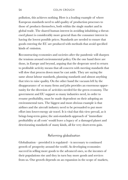pollution, this achieves nothing. Here is a leading example of where European standards need to add quality of production processes to those of products themselves, both within the single market and in global trade. The shared human interest in avoiding inhabiting a threat‐ ened planet is considerably more general than the consumer interest in having the lowest possible prices. Standards are needed to ensure that goods entering the EU are produced with methods that avoid specified kinds of emission.

Reconstructing economies and societies after the pandemic will sharpen the tensions around environmental policy. On the one hand there are those, in Europe and beyond, arguing that the desperate need to return to profitable activity means that all concern with meeting standards that will slow that process down must be cast aside. They are saying the same about labour standards, planning standards and almost anything that tries to raise quality. On the other hand the vacuum left by the disappearance of so many firms and jobs provides an enormous oppor‐ tunity for the diversion of activities needed for the green economy. The government and EU support so many industries need, in order to resume profitability, must be made dependent on their adopting an environmental turn. The biggest and most obvious example is that airlines and the aircraft industry need to be persuaded to put more effort into lower-energy air travel. It is vital that this view prevail, as it brings long-term gains; the anti-standards approach of 'immediate profitability at all costs' would leave a legacy of a damaged planet and deteriorating standards of many kinds, all for very short-term gain.

#### Reforming globalisation

Globalisation—provided it is regulated—is necessary to continued growth of prosperity around the world. As developing economies succeed in selling more goods to the advanced ones, so the incomes of their populations rise and they in turn buy more goods and services from us. Our growth depends on an expansion in the scope of markets,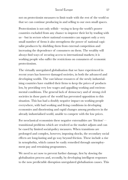not on protectionist measures to limit trade with the rest of the world so that we can continue producing in and selling to our own small spaces.

Protectionism is not only selfish—trying to keep the world's poorer countries excluded from any chance to improve their lot by trading with us—but in sectors where national economies can support only a very small number of firms it also strengthens the power of national capitalist producers by shielding them from external competition and increasing the dependence of consumers on them. The wealthy will always find ways of securing access to international markets; it is working people who suffer the restrictions on consumers of economic protectionism.

The virtually unregulated globalisation that we have experienced in recent years has however damaged societies, in both the advanced and developing worlds. The vast labour resources of the newly industrial‐ ising countries have enabled their firms to keep the prices of products low, by providing very low wages and appalling working and environ‐ mental conditions. The general lack of democracy and of strong civil societies in those parts of the world has prevented opposition to this situation. This has had a doubly negative impact on working people everywhere, with bad working and living conditions in developing economies and disorienting and rapid changes among producers in the already industrialised world, unable to compete with the low prices.

For neoclassical economists these negative externalities are 'friction' transitional problems which are resolved as the market adjusts and can be eased by limited social-policy measures. When transitions are prolonged and complex, however, imposing shocks, the secondary social effects are long-lasting and go way beyond friction. These include a rise in xenophobia, which cannot be easily remedied through unemploy‐ ment pay and retraining programmes.

We need to act now to prevent further damage, first by slowing the globalisation process and, secondly, by developing intelligent responses to the now predictable disruption unregulated globalisation causes. This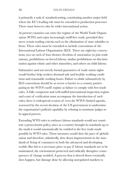is primarily a task of standard-setting, constituting another major field where the EU's leading role must be extended to production processes. There must however also be wider international action.

At present countries can enter the regime of the World Trade Organi‐ sation (WTO) and enjoy increasingly tariff-free trade, provided they meet certain trading criteria such as the elimination of state subsidies to firms. These rules must be extended to include conventions of the International Labour Organisation (ILO). There are eight key conven‐ tions, two on each of four themes: freedom of association (to join trade unions), prohibitions on forced labour, similar prohibitions on discrimi‐ nation against ethnic and other minorities, and others on child labour.

Substantive and not merely formal guarantees of trade union rights would further help workers demand safe and healthy working conditions and reasonable working hours. Failure to abide substantively by ILO conventions should be as severe a barrier to a country partici‐ pating in the WTO's tariff regime as failure to comply with free-trade rules. A fully competent and well-staffed international inspection regime and court of verification must accompany the introduction of such rules; there is widespread evasion of even the WTO's limited agenda, worsened by the recent decision of the US government to undermine the organisation's judicial capability by refusing to nominate judges to its appeal process.

Extending WTO rules to embrace labour standards would not consti‐ tute a protectionist policy, since as a country brought its standards up to the mark it would automatically be entitled to the free trade made possible by WTO rules. These measures would slow the pace of globali‐ sation and therefore, admittedly, slow down improvements in the stan‐ dards of living of consumers in both the advanced and developing worlds. But this is a necessary price to pay if labour standards are to be maintained, the environment protected and radically disruptive conse‐ quences of change avoided. A process that is slowed down eventually does happen, but damage done by allowing unregulated markets to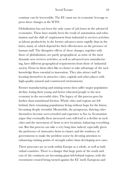continue can be irreversible. The EU must use its economic leverage to press these changes at the WTO.

Globalisation has not been the only cause of job losses in the advanced economies. These have mainly been the result of automation and robo‐ tisation and the shift of employment from industrial to services activities as labour productivity in the former advances more rapidly than in the latter, many of which depend for their effectiveness on the presence of human staff. The disruptive effects of these changes, together with those of globalisation, are partly geographical, as some of the most dynamic new services activities, as well as advanced new manufactur‐ ing, have different geographical requirements from those of industrial society. Firms in them often like to cluster to take advantage of the tacit knowledge flows essential to innovation. They also attract staff by locating themselves in attractive cities, capitals and other places with high-quality natural and constructed environments.

Former manufacturing and mining towns then suffer major population decline, losing their young and better educated people to the new economy in the successful cities. The legacy of this process goes far further than transitional friction. Whole cities and regions are left behind, their remaining populations living without hope for the future, becoming deeply resentful. Meanwhile, the prosperous, thriving cities themselves become over-crowded and expensive to live in. Economists argue that eventually these increased costs will lead to a decline in such cities and the movement of firms to new locations, balancing everything out. But this process can take a very long time indeed, especially given the preference of innovative firms to cluster and the tendency of governments to make the problem worse by devoting attention to enhancing existing points of strength rather than developing new ones.

These processes are at work within Europe as a whole, as well as indi‐ vidual countries. There is a danger that large parts of the south and east of the continent are becoming giant left-behind regions, with the resentment created being turned against the EU itself. European and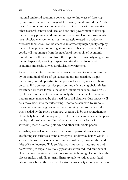national territorial economic policies have to find ways of fostering dynamism within a wider range of territories, based around the Nordic idea of regional innovation networks that link firms with universities, other research centres and local and regional government to develop the necessary physical and human infrastructure. Even improvements to local physical environments, not immediately related to production processes themselves, can be effective in attracting high-quality employ‐ ment. These policies, requiring attention to public and other collective goods, will not emerge from the neoliberal monopoly of economic thought; nor will they result from the imposition of austerity on govern‐ ments desperately needing to spend to raise the quality of their economic and social as well as physical environments.

As work in manufacturing in the advanced economies was undermined by the combined effects of globalisation and robotisation, people increasingly found opportunities in personal services, work involving personal links between service provider and client being obviously less threatened by those forces. One of the unkindest cuts bestowed on us by Covid-19 is the fact that it is precisely those personal link activities that are most menaced by the need for social distance. One answer will be a move back into manufacturing—not to be achieved by ruinous protectionism but by governments encouraging the productive indus‐ tries needed by the green economy. Another will be the strengthening of publicly financed, high-quality employment in care services, the poor quality and insufficient staffing of which was a major factor in spreading the virus among elderly and other vulnerable people.

A further, less welcome, answer that firms in personal services sectors are finding exacerbates a trend already well under way before Covid-19 struck—the use of flexible labour markets with easy hire-and-fire and false self-employment. This enables activities such as restaurants and hairdressing to expand cautiously post-virus with reduced numbers of clients at any one time, and with occasional tightening of controls as the disease makes periodic returns. Firms are able to reduce their fixed labour costs, but at the expense of extreme insecurity among workers in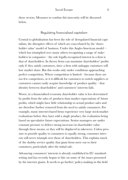those sectors. Measures to combat this insecurity will be discussed below.

# Regulating financialised capitalism

Central to globalisation has been the role of deregulated financial capi‐ talism, the disruptive effects of which are exacerbated by the 'share‐ holder value' model of business. Under this Anglo-American model which has triumphed over many others recognising a range of stakeholders in companies—the sole legally-recognised interest in a firm is that of shareholders. In theory firms can maximise shareholders' profits only if they satisfy customers, since a firm with unhappy customers will lose market share. But this works only under conditions approaching perfect competition. Where competition is limited—because there are too few competitors, or it is difficult for customers to switch suppliers or customers cannot easily acquire knowledge of product quality—that identity between shareholders' and customers' interests fails.

Worse, in a financialised economy shareholder value is less determined by profits from the sales of products than market expectations of future profits, which might have little relationship to actual product sales and are therefore further removed from the need to satisfy consumers. For example, many internet-based firms experience very large stock-market evaluations before they have sold a single product, the evaluation being based on speculative future expectations. Senior managers are under constant pressure to deliver strong increases in shareholder value through these means, or they will be displaced in takeovers. Unless pres‐ sure to provide quality to consumers is equally strong, consumer inter‐ ests will never triumph over those of shareholders. This explains much of the shabby service quality that giant firms mete out to their customers, particularly after the initial sale.

Advancing consumers' interests is already established in EU standardsetting and has recently begun to bite on some of the issues presented by the internet giants. It needs to go further: policy-making in this field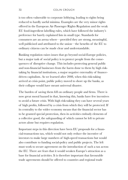is too often vulnerable to corporate lobbying, leading to rights being reduced to hardly useful minima. Examples are the very minor rights offered in the European Air Passenger Rights Regulation and the weak EU food-ingredient labelling rules, which have followed the industry's preference for barely explained lists in small type. Standards for consumers are an arena where—provided they are strong, meaningful, well publicised and attributed to the union—the benefits of the EU to ordinary citizens can be made clear and understandable.

Banking regulation raises issues that go beyond social-Europe policies, but a major task of social policy is to protect people from the consequences of disruptive change. This includes protecting general public and non-financial businesses from the harm done to them by high risktaking by financial institutions, a major negative externality of financedriven capitalism. As we learned after 2008, when this risk-taking arrived at crisis point, public policy moved to shore up the banks, as their collapse would have meant universal disaster.

The burden of saving them fell on ordinary people and firms. There is now great moral hazard in that, knowing this, banks have few incentives to avoid a future crisis. With high risk-taking they can have several years of high profits, followed by a crisis from which they will be protected. If its centrality to the wider economy means that the financial sector has to be granted special protection, then its activities embody elements of a collective good, the safeguarding of which cannot be left to private actors alone but requires regulation.

Important steps in this direction have been EU proposals for a finan‐ cial-transactions tax, which would not only reduce the incentive of investors to make large numbers of high-speed transactions but would also contribute to funding social-policy and public projects. The left must work to secure agreement on the introduction of such a tax across the EU. There are fears that it would weaken Europe's attraction as a base for financial activities. It is therefore important that favourable trade agreements should be offered to countries and regional trade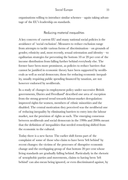organisations willing to introduce similar schemes—again taking advan‐ tage of the EU's leadership on standards.

## Reducing material inequalities

A key concern of current EU and many national social policies is the avoidance of 'social exclusion'. Measures to reduce exclusion range from attempts to tackle various forms of discrimination—on grounds of gender, ethnicity and, most recently, sexual orientation and identity—to egalitarian strategies for preventing the bottom 10 or 20 per cent of the income distribution from falling further behind everybody else. The former have been more prominent, as policies to reduce barriers that cannot be justified in economic theory have been supported by neolib‐ erals as well as social democrats; those for reducing economic inequal‐ ity, usually requiring public spending financed by taxation, are not however endorsed by neoliberals.

In a study of changes in employment policy under successive British governments, Davies and Freedland<sup>4</sup> described one area of exception from the strong general trend towards labour-market deregulation: improved rights for women, members of ethnic minorities and the disabled. The central motivation they perceived was the neoliberal one of reducing inequality by eliminating barriers to entry into the labour market, not the provision of rights as such. The emerging consensus between neoliberals and social democrats in the 1990s and 2000s meant that the definition of inequalities that needed remedying shifted from the economic to the cultural.

Today there is a new factor. The earlier shift forms part of the complaint of some of those who claim to have been 'left behind' by recent changes: the victims of the processes of disruptive economic change and the overlapping group of that bottom 20 per cent whose living standards are gradually falling behind. Particularly in the rhetoric of xenophobic parties and movements, claims to having been 'left behind' can also mean being ignored, or even discriminated against, by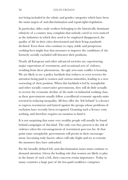not being included in the ethnic and gender categories which have been the main targets of anti-discrimination and equal-rights legislation.

In particular, older, male workers belonging to the historically dominant ethnicity of a country may complain that nobody cared or even noticed as the industries in which they used to be employed disappeared, the quality of life in their cities deteriorated and their living standards declined. Even those who continue to enjoy stable and prosperous working lives might fear that measures to improve the conditions of the formerly socially excluded will threaten their positions.

Nearly all European and other advanced societies are experiencing major expressions of resentment, and occasional acts of violence, resulting from these phenomena. An ugly zero-sum conflict is looming. We are likely to see a policy backlash that reduces or even reverses the attention being paid to women and various minorities, leading to a new worsening of their position. When this backlash is led by xenophobic and other socially conservative governments, they will do little actually to reverse the economic decline of the male ex-industrial working class, as these governments usually follow a neoliberal economic agenda unin‐ terested in reducing inequality. All they offer the 'left behind' is a licence to express resentment and hatred against the groups whose problems of exclusion have recently been recognised. Granting such a licence costs nothing, and therefore requires no taxation to fund it.

It is not surprising that some very wealthy people will usually be found behind campaigns of this kind. The only cost they present is the risk of violence when the encouragement of resentment goes too far. At that point some xenophobic governments will persist in their encouragement, becoming truly fascist; others will take fright and try to restrain the monsters they have unleashed.

For the broadly defined left, anti-discrimination issues must continue to demand attention. Given the leading role that women are likely to play in the future of such a left, their concerns retain importance. Today in many countries a large part of the low-paid workforce comprises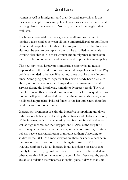women as well as immigrants and their descendants—which is one reason why people from some political positions specify the native male working class as their concern. No party of the left can neglect their problems.

It is however essential that the right not be allowed to succeed in inciting a false conflict between all these underprivileged groups. Issues of material inequality not only must share priority with other forms but also must be seen to overlap with them. The so-called white, male working class shares with most women and immigrants an interest in the redistribution of wealth and income, and in protective social policy.

The new high-tech, largely post-industrial economy by no means dispensed with the need to confront material inequalities, as Third Way politicians tended to believe. If anything, these acquire a new impor‐ tance. Some geographical aspects of this have already been discussed above, as has the way in which low-paid workers maintained vital services during the lockdowns, sometimes dying as a result. There is therefore currently intensified awareness of the evils of inequality. This moment will pass, and we shall return to the more selfish society that neoliberalism preaches. Political forces of the left and centre therefore need to seize this moment now.

Increasingly prominent are also the imperfect competition and down‐ right monopoly being produced by the network and platform economy of the internet, which are generating vast fortunes for a tiny elite, as well as high incomes for their key personnel. Also, at the very time when inequalities have been increasing in the labour market, taxation policies have exacerbated rather than reduced them. According to studies by the  $\rm{OECD},^{5}$  almost everywhere there has been a decline in the rates of the corporation and capital-gains taxes that fall on the wealthy, combined with an increase in tax-avoidance measures that mainly favour them, against increases in the income, value-added and other taxes that fall on the mass of the population. Very wealthy people are able to redefine their incomes as capital gains, a device that is not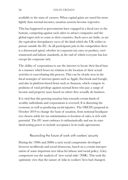available to the mass of earners. When capital gains are taxed far more lightly than normal incomes, taxation systems become regressive.

This has happened as governments have engaged in a fiscal race to the bottom, competing against each other to attract companies and the global super-rich to come to their countries. Such races are futile, as are the equivalent deregulatory races of the kind which the UK wishes to pursue outside the EU. As all participants join in the competition there is a downward spiral, whether in corporate-tax rates or product, envi‐ ronmental and labour standards, at the end of which everyone has lost except the corporate rich.

The ability of corporations to use the internet to locate their fiscal base in a manner which bears no relation to the location of their actual activities is exacerbating this process. This can be clearly seen in the fiscal strategies of internet giants such as Apple, Facebook and Google, and also in platform-based firms such as Amazon, which compete in positions of total privilege against normal firms who pay a range of income and property taxes based on where they actually do business.

It is vital that this growing taxation bias towards certain kinds of wealthy individuals and corporations is reversed. It is distorting the economy as well as producing social injustice. The OECD's proposal in October 2019 to change the basis of taxation, from notional headquar‐ ters chosen solely for tax minimisation to location of sales, is rich with potential. The EU must embrace it enthusiastically and use its stan‐ dard-setting power to include acceptance in its trade agreements.

#### Reconciling the future of work with workers' security

During the 1990s and 2000s a tacit social compromise developed between neoliberals and social democrats, based on a certain interpre‐ tation of some important new ideas for labour and social policy. A key component was the analysis of 'new social risks' (NSR). This took the optimistic view that the nature of risks in workers' lives had changed,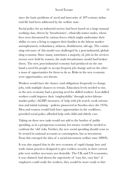since the basic problems of need and insecurity of  $20<sup>th</sup>$ -century industrial life had been addressed by the welfare state.

Social policy for an industrial society had been based on a large manual working class, driven by 'breadwinner', ethnically-native males, whose lives were threatened by various forces which might undermine their ability to earn a living to support their families in the labour market: unemployment, redundancy, sickness, disablement, old age. The contin‐ uing relevance of this model was challenged by a post-industrial, global‐ ising economy. Since many, sometimes a majority of, jobs in the services sectors were held by women, the male-breadwinner model had broken down. The new, post-industrial economy had produced on the one hand a need for people to accept frequent job change and on the other a mass of opportunities for them to do so. Risks in the new economy were opportunities, not threats.

Workers would have the chance (and obligation) frequently to change jobs, with multiple chances to retrain. Education levels needed to rise, as the new economy had a growing need for skilled workers. Less-skilled workers could improve their 'employability' through active-labourmarket policy (ALMP) measures, of help with job search, work orientation and initial training—policies pioneered in Sweden since the 1970s. Men and women would both have opportunities in the workforce, provided social policy afforded help with child and elderly care.

Taking on these new tasks would not add to the burden of public spending, as in a prosperous economy less money would be needed to confront the 'old' risks. Further, the new social spending should cease to be treated in national accounts as consumption, but as investment. From this emerged the idea of a social-investment welfare state (SIWS).

It was also argued that in the new economy of rapid change laws and trade union practices designed to give workers security in their current jobs were neither necessary nor desirable. The UK and US economies, it was claimed, had shown the superiority of 'easy fire, easy hire': if employers could easily fire workers, they would be more ready to hire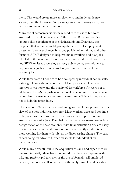them. This would create more employment, and in dynamic new sectors, than the historical European approach of making it easy for workers to retain their current jobs.

Many social democrats did not take readily to this idea but were attracted to the related concept of 'flexicurity'. Based on positive labour-policy experiences in the Netherlands and Denmark, this proposed that workers should give up the security of employmentprotection laws in exchange for strong policies of retraining and other forms of ALMP, designed to help redundant workers find new jobs. This led to the same conclusions as the arguments derived from NSR and SIWS analysis, promising a strong public-policy commitment to help workers qualify for new work opportunities if they lost their existing jobs.

While these were all policies to be developed by individual nation-states, a strong role was also seen for the EU. Europe as a whole needed to improve its economy and the quality of its workforce if it were not to fall behind the US. In particular, the weaker economies of southern and central Europe needed to become dynamic and efficient if they were not to hold the union back.

The crash of 2008 was a rude awakening for the blithe optimism of this view of the post-industrial economy. Many workers were, and continue to be, faced with serious insecurity without much hope of finding attractive alternative jobs. Even before that there was reason to doubt a benign vision of the new economy. With financialisation firms are likely to alter their identities and business models frequently, confronting those working for them with job loss or disconcerting change. The pace of technological advance further makes skills redundant at an increasing rate.

While many firms still value the acquisition of skills and experience by long-serving staff, others have discovered that they can dispense with this, and prefer rapid turnover or the use of formally self-employed persons, temporary staff or workers with highly variable and destabil‐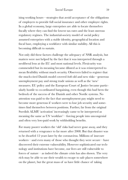#### Social Europe 39

ising working hours—strategies that avoid acceptance of the obligations of employers to provide full social insurance and other employee rights. In a global economy, large enterprises are able to locate themselves fiscally where they can find the lowest tax rates and the least onerous regulatory regimes. The industrial-society model of social policy assumed enterprises with a stable identity, geographical location and fiscal base, employing a workforce with similar stability. All this is becoming difficult to sustain.

Not only did these factors challenge the adequacy of NSR analysis, but matters were not helped by the fact that it was interpreted through a neoliberal lens at the EU and most national levels. Flexicurity was commended but its meaning became diluted as it was reinterpreted to mean flexibility without much security. Observers failed to register that the much-cited Danish model covered *both* old and new risks—generous unemployment pay and strong trade unions as well as the 'new' measures. EU policy and the European Court of Justice became partic‐ ularly hostile to co-ordinated bargaining, even though this had been the bedrock of the success of the Danish and other Nordic systems. No attention was paid to the fact that unemployment pay might need to become more generous if workers were to lose job security and some‐ times find themselves between positions. Further, far from the original Swedish ALMP, 'activation' increasingly came to be interpreted as meaning the same as US 'workfare'—forcing people into uncongenial and often very low-paid work by withholding benefits.

For many poorer workers the 'old' risks had never gone away, and they returned with a vengeance to far more after 2008. But that disaster was to be dwarfed 12 years later by the coronavirus. Millions of insecure workers—and even many of those who thought they were secure—have discovered their extreme vulnerability. However sophisticated our tech‐ nology and institutions have become, our lives are still vulnerable to forces of nature – as indeed the climate crisis has also shown. The very rich may be able to use their wealth to escape to safe places somewhere on the planet, but the great mass of us have little chance of taking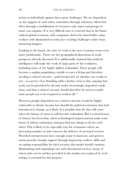action as individuals against these great challenges. We are dependent on the support of each other, sometimes through voluntary efforts but often through a mobilisation of resources only states and groups of states can organise. It is very difficult now to contend that in the finan‐ cialised global economy, with companies driven by shareholder value, workers with diminished security face exciting challenges rather than menacing dangers.

Looking to the future, the state of work in the new economy seems even more problematic. There are the geographical distortions in work prospects, already discussed. It is additionally claimed that artificial intelligence will make the work of large parts of the workforce, including some of the highly skilled, redundant. These people will become a surplus population, unable to earn a living and therefore needing a citizen's income—paid irrespective of whether one works or not—to survive. Guy Standing adds a further twist to this, arguing that work can be provided for all only under increasingly degraded conditions, and that a citizen's income should therefore be used to enable some people not to be required to work at all.  $^6$ 

However, people dependent on a citizen's income would be highly vulnerable to drastic income loss should the political consensus that had introduced it change, as is likely. It is possible that the day will come when the labour of most us will become redundant. But a central lesson of history has been that, when technological improvements make some forms of labour redundant, humans find new things to do for each other. This is likely to be especially true for economies where an increasing number of jobs concern the delivery of personal services. Provided entrepreneurs have enough scope to innovate, and govern‐ ments provide enough support through improving workers' skills and accepting responsibility for their security, this model should continue. Maintaining and expanding care and educational services, many of whose jobs can be neither provided in the market nor replaced by technology, is essential for this purpose.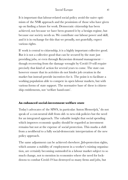#### Social Europe 41

It is important that labour-related social policy avoid the naive opti‐ mism of the NSR approach and the pessimism of those who have given up on finding a future for work. Democratic citizenship has been achieved, not because we have been granted it by a benign regime, but because our society needs us. We contribute our labour power and skill, and it is in exchange for this that we proudly, not gratefully, expect various rights.

If work is central to citizenship, it is a highly important collective good. But it is not a collective good that can be secured by the state just providing jobs, or even through Keynesian demand management though recovering from the damage wrought by Covid-19 will require precisely that kind of action for several years to come. The state can however ensure that its activities do not hinder job creation in the market but instead provide incentives for it. The point is to facilitate a working population able to compete in open labour markets, but with various forms of state support. The normative base of these is citizen‐ ship entitlements, not 'welfare hand-outs'.

#### **An enhanced social-investment welfare state**

Today's advocates of the SIWS, in particular Anton Hemerijck,<sup>7</sup> do not speak of a cost-neutral shift from old- to new-risk policies but the need for an integrated approach. The valuable insight that social spending which improves economic quality should be regarded as investment remains but not at the expense of social protection. This marks a shift from a neoliberal to a fully social-democratic interpretation of the new policy approach.

The same adjustment can be achieved elsewhere. Job-protection rights, which assume a stability of employment in a worker's existing organisation, are certainly becoming outmoded in a labour market subject to so much change, not to mention in economies where the need for lockdowns to combat Covid-19 has destroyed so many firms and jobs, but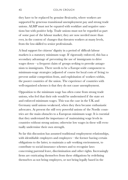they have to be replaced by genuine flexicurity, where workers are supported by generous transitional unemployment pay and strong trade unions. ALMP must not be equated with workfare and negative sanc‐ tions but with positive help. Trade unions must not be regarded as part of some past of the labour market; they are now needed more than ever, in the context of changes that threaten workers at many levels, from the low-skilled to senior professionals.

A final support for citizens' dignity in a period of difficult labour markets is a statutory minimum wage. If rigorously enforced, this has a secondary advantage of preventing the use of immigrants to drive wages down—a frequent claim of groups seeking to provoke antagonism to immigrants. There needs to be a Europe-wide component to minimum-wage strategies (adjusted of course for local costs of living) to prevent unfair competition from, and exploitation of workers within, the poorer countries of the union. The experience of countries with well-organised schemes is that they do not cause unemployment.

Opposition to the minimum wage has often come from strong trade unions, who feel that their role would be undermined if the state set and enforced minimum wages. This was the case in the UK and Germany until unions weakened, when they then became enthusiastic advocates. At present the still very powerful unions of the Nordic coun‐ tries are the main obstacles to a European minimum wage. It is essential that they understand the importance of maintaining wage levels in countries without strong unions; otherwise low wages in these will even‐ tually undermine their own strength.

So far this discussion has assumed traditional employment relationships, with identifiable employers and employees—the former having certain obligations to the latter, to maintain a safe working environment, to contribute to social-insurance schemes and to recognise laws concerning parental leave, discrimination and other rights. Increasingly firms are extricating themselves from these obligations by redefining themselves as not being employers, or not being legally based in the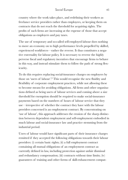country where the work takes place, and redefining their workers as freelance service providers rather than employees, or keeping them on contracts that do not reach the threshold for acquiring rights. The profits of such firms are increasing at the expense of those that accept obligations as employers and pay taxes.

The use of temporary and so-called self-employed labour does nothing to move an economy on to high performance levels propelled by skilled, experienced workforces—rather the reverse. It thus constitutes a negative externality for labour policy. It is necessary to reverse the highly perverse fiscal and regulatory incentives that encourage firms to behave in this way, and instead stimulate them to follow the path of strong flexicurity.

To do this requires replacing social-insurance charges on employers by those on 'users of labour'.<sup>8</sup> This would recognise the new fluidity and flexibility of corporate employment practices, while not allowing these to become means for avoiding obligations. All firms and other organisa‐ tions defined as being users of labour services and coming above a size threshold for exemption should be required to make social-insurance payments based on the numbers of hours of labour service that they use—irrespective of whether the contract they have with the labour providers concerned is an employment contract. By concentrating on 'use of labour', this approach addresses the erosion of the sharp distinc‐ tion between dependent employment and self-employment embodied in much labour and social-insurance law and practice stemming from the industrial period.

Users of labour would have significant parts of their insurance charges remitted if they accepted the following obligations towards their labour providers: (i) certain basic rights; (ii) a full employment contract containing all mutual obligations of an employment contract as currently defined in law, including protection against unfair dismissal and redundancy compensation; (iii) contracts without time limits; (iv) guarantees of training and other forms of skill-enhancement compat‐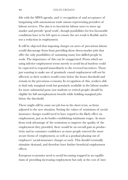ible with the SIWS agenda, and (v) recognition of and acceptance of bargaining with autonomous trade unions representing providers of labour services. The aim is to incentivise labour users to move up market and provide 'good work', though possibilities for less favourable conditions have to be left open to ensure the net result is flexible and is not a reduction in employment.

It will be objected that imposing charges on users of precarious labour would discourage firms from providing those down-market jobs that offer the only possibilities of sustaining many low-skilled people in work. The importance of this can be exaggerated. Firms which are using inferior employment terms merely to avoid fiscal burdens could be expected to respond immediately to the reversed incentives. Those just wanting to make use of genuinely casual employment will not be affected, as their workers would come below the hours threshold and remain in the precarious economy. In recognition of this, workers able to find only marginal work but genuinely available in the labour market for more substantial posts (not students or retired people) should be eligible for full unemployment benefit while holding marginal jobs below the threshold.

There might still be some net job loss in the short term, as firms adjusted to the new situation. Setting the values of remissions of socialinsurance charges would need to have regard to the likely effect on employment, just as do bodies establishing minimum wages. As more firms took advantage of the remissions to improve the quality of the employment they provided, there would be an overall gain in productivity and in consumer confidence as more people entered the more secure forms of employment, as well as a gradual phasing out of employers' social-insurance charges as such. This should eventually stimulate demand, and therefore have further beneficial employment effects.

European economies need to avoid becoming trapped in an equilib‐ rium of providing increasing employment but only at the cost of inse-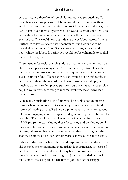#### Social Europe 45

cure terms, and therefore of low skills and reduced productivity. To avoid firms keeping precarious labour conditions by removing their employment to countries not reforming social insurance in this way, the basic form of a reformed system would have to be established across the EU, with individual governments free to vary the size of levies and exemptions. This would help upgrade the use of labour across Europe. Further, in today's services-based economies much work has to be provided at the point of use. Social-insurance charges levied at the point where the labour is performed would not be vulnerable to capital flight on these grounds.

There need to be reciprocal obligations on workers and other individuals. All adult persons living in an EU country, irrespective of whether they were in paid work or not, would be required to contribute to the social-insurance fund. Their contributions would not be differentiated according to their labour-market status (non-workers would pay as much as workers; self-employed persons would pay the same as employees) but would vary according to income level, whatever forms that income took.

All persons contributing to the fund would be eligible for an income from it when unemployed but seeking a job, incapable of or retired from work, taking on specified unpaid parental and other care responsibilities, or engaging in other unpaid work generally agreed to be socially desirable. They would also be eligible to participate in free public ALMP programmes, including those for starting and developing small businesses. Immigrants would have to be included even if they were not citizens; otherwise they would become vulnerable to sinking into the shadow economy and suffering from various forms of social exclusion.

Subject to the need for firms that avoid responsibilities to make a finan‐ cial contribution to maintaining an orderly labour market, the costs of employment security need to shift away from employers to the state, as there is today a priority on ensuring that jobs are provided, a priority made more intense by the destruction of jobs during the struggle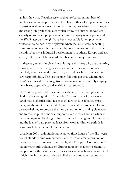against the virus. Taxation systems that are based on numbers of employees do not help to achieve this. For southern-European countries in particular there is a need to move from high social-security charges and strong job-protection laws (which throw the burden of workers' security on to the employer) to generous unemployment support and the SIWS agenda. It might have been acceptable for employment protection to be borne by employers when the latter were benefiting from protectionist walls maintained by governments, as in the major periods of postwar industrial development in southern Europe and else‐ where, but in open labour markets it becomes a major hindrance.

All these arguments imply citizenship rights for those who are preparing to work, who are working, who would work if they were not sick or disabled, who have worked until they are old or who are engaged in care responsibilities. The last includes full-time parents. Chiara Sara‐ ceno<sup>9</sup> has warned of the negative consequences of an entirely employment-based approach to citizenship for parenthood.

The SIWS agenda addresses this issue directly with its emphasis on childcare but recognition of the role of parenthood within a workbased model of citizenship needs to go further. Social policy must recognise the right of a parent of preschool children to be a full-time parent—helping to prepare the next generation of working citizens and to receive public financial support, even if they have a partner in paid employment. Such rights have been partly recognised for mothers and the idea of paid parental leave from work for limited periods is beginning to be accepted for fathers too.

Already in 2001 Alain Supiot anticipated these issues of the disintegra‐ tion of standard employment terms and the problematic position of parental work, in a report sponsored by the European Commission.<sup>10</sup> It had however little influence on European policy-makers—certainly in comparison with the often disastrous advice of neoliberal economists. It is high time his report was dusted off the shelf and taken seriously.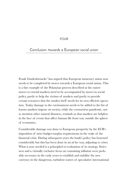#### FOUR

# Conclusion: towards a European social union

Frank Vandenbroucke<sup>1</sup> has argued that European monetary union now needs to be completed by moves towards a European social union. This is a fine example of the Polanyian process described at the outset: moves to extend markets need to be accompanied by moves in social policy, partly to help the victims of markets and partly to provide certain resources that the market itself needs for its own efficient opera‐ tion. Today damage to the environment needs to be added to the list of harms markets impose on society, while the coronavirus pandemic, not to mention other natural disasters, reminds us that markets are helpless in the face of events that affect human life from way outside the sphere of economics.

Considerable damage was done to European prosperity by the ECB's imposition of strict budget-surplus requirements in the wake of the financial crisis. During subsequent years the bank's policy has loosened considerably but this has been done in an *ad hoc* way, adjusting to crises. What is now needed is a principled re-evaluation of its strategy. Strictness and a virtually exclusive focus on containing inflation were prob‐ ably necessary in the early years to establish and stabilise the new currency in the dangerous, turbulent waters of speculative international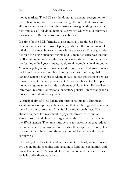money markets. The ECB's critics do not give enough recognition to this difficult task; nor do they acknowledge the gains that have come to all economies in and beyond the eurozone through ending the erratic rises and falls of individual national currencies which would otherwise have occurred. But the euro is now established.

It is time for the ECB formally to recognise, as does the US Federal Reserve Bank, a wider range of policy goals than the containment of inflation. This must however come with a *quid pro quo*. The original deal between the single-currency regime and its member states was that the ECB would maintain a tough monetary-policy stance to contain inflation but individual governments would retain complete fiscal autonomy. Monetary policy alone, it was believed, would ensure that governments could not behave irresponsibly. This reckoned without the global banking system being just as willing to take on bad government debt as it was to accept insecure private debt. A more sophisticated European monetary regime must include an element of fiscal federalism—direct framework restraints on national budgetary policies—in exchange for a less severe overall monetary stance.

A principal aim of fiscal federalism must be to pursue a European social union, exempting public spending that can be regarded as investment from the constraints of the Stability and Growth Pact. This already happens for investment in physical infrastructure but, as Vandenbrouke and Hemerijck argue, it needs to be extended to cover the SIWS agenda. The same must be true for investments that reduce carbon emissions, damage to biodiversity, other requirements of policies to avert climate change and the restoration of life in the wake of the coronavirus.

The policy directions indicated in this manifesto clearly require collec‐ tive action, public spending and taxation to fund that expenditure and costs of other kinds. An agenda for co-operation and inclusion neces‐ sarily includes those ingredients.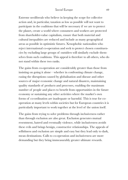#### Social Europe 49

Extreme neoliberals who believe in keeping the scope for collective action and, in particular, taxation as low as possible will not want to participate in the coalitions that will be necessary if we are to protect the planet, create a world where consumers and workers are protected from shareholder-value capitalism, ensure that both material and cultural inequalities are reduced and include as many geographical areas as possible in optimistic futures. Xenophobic nationalists who reject international co-operation and seek to protect chosen constituen‐ cies by excluding large groups of outsiders will similarly exclude them‐ selves from such coalitions. This appeal is therefore to all others, who do not stand within these two ranks.

The gains from co-operation are considerably greater than those from insisting on going it alone—whether in confronting climate change, easing the disruptions caused by globalisation and disease and other sources of major economic change and natural disasters, maintaining quality standards of products and processes, enabling the maximum number of people and places to benefit from opportunities in the future economy or sustaining any other activities where the market's own forms of co-ordination are inadequate or harmful. This is true for cooperation at many levels within societies but for European countries it is particularly important to work together at the level of the union itself.

The gains from trying to solve problems through inclusiveness rather than through exclusion are also great. Exclusion generates mutual resentment, hatred and eventually violence, while inclusiveness avoids these evils and brings benign, constructive relationships. The appeals of selfishness and exclusion are simple and easy but they lead only to dark, mean destinations. Calls to co-operation and inclusiveness are more demanding but they bring immeasurably greater ultimate rewards.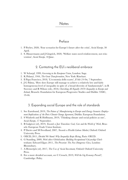#### **Notes**

#### Preface

- 1. P Pochet, 2020, 'Four scenarios for Europe's future after the crisis'*, Social Europe,* 30 April.
- 2. S. Häusermann and J Gingrich, 2020, 'Welfare states need reinforcement, not rein‐ vention', *Social Europe,* 18 June.

#### 2. Contesting the EU's neoliberal embrace

- 1. W Scharpf, 1999, *Governing in the European Union*, London: Sage.
- 2. K Polanyi, 1944, *The Great Transformation*, New York: Rinehart.
- 3. Il Papa Francisco, 2018, 'L'economia dello scarto', *Il Sole 24 Ore,* 7 September.
- 4. J G Palma, 'How does Europe still manage to achieve a relatively low and fairly homogeneous level of inequality in spite of a broad diversity of fundamentals?', in R Sweeney and R Wilson (eds), 2018, *Cherishing All Equally 2019: Inequality in Europe and Ireland*, Brussels: Foundation for European Progressive Studies and Dublin: TASC, 19-46.

#### 3. Expanding social Europe and the role of standards

- 1. See Eurofound, 2019, *The Future of Manufacturing in Europe* and *Energy Scenario: Employ‐ ment Implications of the Paris Climate Change Agreement*, Dublin: European Foundation.
- 2. S Wixforth and R Hoffmann, 2019, 'Thinking climate and social policies as one', *Social Europe*, 17 September.
- 3. B Galgóczi (ed), 2019, *Towards a Just Transition: Coal, Cars and the World of Work*, Brus‐ sels: European Trade Union Institute.
- 4. P Davies and M Freedland, 2007, *Towards a Flexible Labour Market*, Oxford: Oxford University Press.
- 5. OECD, 2011, *Divided We Stand: Why Inequality Keeps Rising*, Paris: OECD.
- 6. G Standing, 2009, *Work* after *Globalisation: Building Occupational Citizenship,* Chel‐ tenham: Edward Elgar; 2011, *The Precariat: The New Dangerous Class,* London: Bloomsbury.
- 7. A Hemerijck (ed), 2017, *The Uses of Social Investment,* Oxford: Oxford University Press.
- 8. For a more detailed account, see C Crouch, 2019, *Will the Gig Economy Prevail?*, Cambridge: Polity.